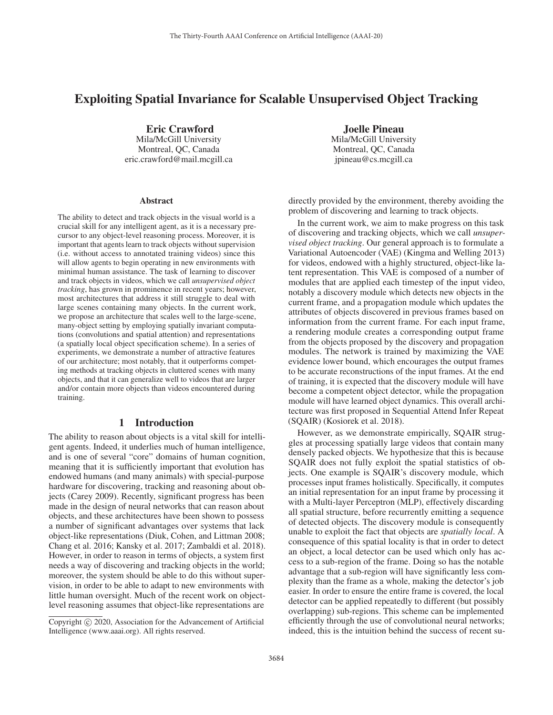# Exploiting Spatial Invariance for Scalable Unsupervised Object Tracking

Eric Crawford

Mila/McGill University Montreal, QC, Canada eric.crawford@mail.mcgill.ca

#### Abstract

The ability to detect and track objects in the visual world is a crucial skill for any intelligent agent, as it is a necessary precursor to any object-level reasoning process. Moreover, it is important that agents learn to track objects without supervision (i.e. without access to annotated training videos) since this will allow agents to begin operating in new environments with minimal human assistance. The task of learning to discover and track objects in videos, which we call *unsupervised object tracking*, has grown in prominence in recent years; however, most architectures that address it still struggle to deal with large scenes containing many objects. In the current work, we propose an architecture that scales well to the large-scene, many-object setting by employing spatially invariant computations (convolutions and spatial attention) and representations (a spatially local object specification scheme). In a series of experiments, we demonstrate a number of attractive features of our architecture; most notably, that it outperforms competing methods at tracking objects in cluttered scenes with many objects, and that it can generalize well to videos that are larger and/or contain more objects than videos encountered during training.

# 1 Introduction

The ability to reason about objects is a vital skill for intelligent agents. Indeed, it underlies much of human intelligence, and is one of several "core" domains of human cognition, meaning that it is sufficiently important that evolution has endowed humans (and many animals) with special-purpose hardware for discovering, tracking and reasoning about objects (Carey 2009). Recently, significant progress has been made in the design of neural networks that can reason about objects, and these architectures have been shown to possess a number of significant advantages over systems that lack object-like representations (Diuk, Cohen, and Littman 2008; Chang et al. 2016; Kansky et al. 2017; Zambaldi et al. 2018). However, in order to reason in terms of objects, a system first needs a way of discovering and tracking objects in the world; moreover, the system should be able to do this without supervision, in order to be able to adapt to new environments with little human oversight. Much of the recent work on objectlevel reasoning assumes that object-like representations are

Joelle Pineau Mila/McGill University Montreal, QC, Canada jpineau@cs.mcgill.ca

directly provided by the environment, thereby avoiding the problem of discovering and learning to track objects.

In the current work, we aim to make progress on this task of discovering and tracking objects, which we call *unsupervised object tracking*. Our general approach is to formulate a Variational Autoencoder (VAE) (Kingma and Welling 2013) for videos, endowed with a highly structured, object-like latent representation. This VAE is composed of a number of modules that are applied each timestep of the input video, notably a discovery module which detects new objects in the current frame, and a propagation module which updates the attributes of objects discovered in previous frames based on information from the current frame. For each input frame, a rendering module creates a corresponding output frame from the objects proposed by the discovery and propagation modules. The network is trained by maximizing the VAE evidence lower bound, which encourages the output frames to be accurate reconstructions of the input frames. At the end of training, it is expected that the discovery module will have become a competent object detector, while the propagation module will have learned object dynamics. This overall architecture was first proposed in Sequential Attend Infer Repeat (SQAIR) (Kosiorek et al. 2018).

However, as we demonstrate empirically, SQAIR struggles at processing spatially large videos that contain many densely packed objects. We hypothesize that this is because SQAIR does not fully exploit the spatial statistics of objects. One example is SQAIR's discovery module, which processes input frames holistically. Specifically, it computes an initial representation for an input frame by processing it with a Multi-layer Perceptron (MLP), effectively discarding all spatial structure, before recurrently emitting a sequence of detected objects. The discovery module is consequently unable to exploit the fact that objects are *spatially local*. A consequence of this spatial locality is that in order to detect an object, a local detector can be used which only has access to a sub-region of the frame. Doing so has the notable advantage that a sub-region will have significantly less complexity than the frame as a whole, making the detector's job easier. In order to ensure the entire frame is covered, the local detector can be applied repeatedly to different (but possibly overlapping) sub-regions. This scheme can be implemented efficiently through the use of convolutional neural networks; indeed, this is the intuition behind the success of recent su-

Copyright  $\odot$  2020, Association for the Advancement of Artificial Intelligence (www.aaai.org). All rights reserved.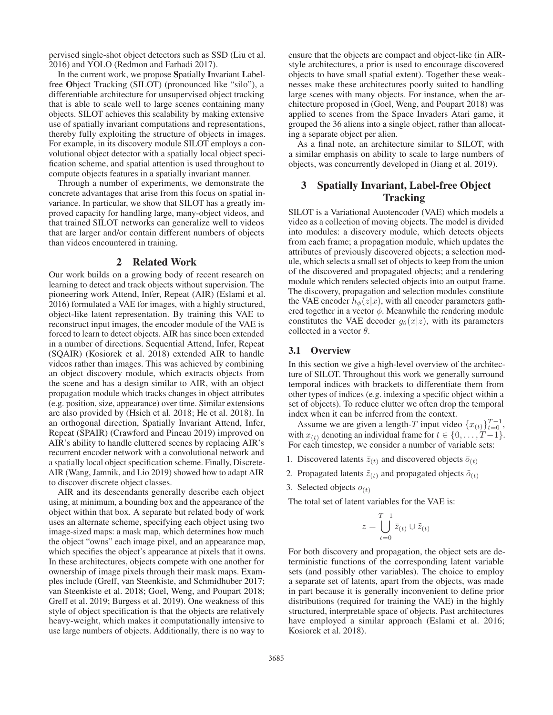pervised single-shot object detectors such as SSD (Liu et al. 2016) and YOLO (Redmon and Farhadi 2017).

In the current work, we propose Spatially Invariant Labelfree Object Tracking (SILOT) (pronounced like "silo"), a differentiable architecture for unsupervised object tracking that is able to scale well to large scenes containing many objects. SILOT achieves this scalability by making extensive use of spatially invariant computations and representations, thereby fully exploiting the structure of objects in images. For example, in its discovery module SILOT employs a convolutional object detector with a spatially local object specification scheme, and spatial attention is used throughout to compute objects features in a spatially invariant manner.

Through a number of experiments, we demonstrate the concrete advantages that arise from this focus on spatial invariance. In particular, we show that SILOT has a greatly improved capacity for handling large, many-object videos, and that trained SILOT networks can generalize well to videos that are larger and/or contain different numbers of objects than videos encountered in training.

# 2 Related Work

Our work builds on a growing body of recent research on learning to detect and track objects without supervision. The pioneering work Attend, Infer, Repeat (AIR) (Eslami et al. 2016) formulated a VAE for images, with a highly structured, object-like latent representation. By training this VAE to reconstruct input images, the encoder module of the VAE is forced to learn to detect objects. AIR has since been extended in a number of directions. Sequential Attend, Infer, Repeat (SQAIR) (Kosiorek et al. 2018) extended AIR to handle videos rather than images. This was achieved by combining an object discovery module, which extracts objects from the scene and has a design similar to AIR, with an object propagation module which tracks changes in object attributes (e.g. position, size, appearance) over time. Similar extensions are also provided by (Hsieh et al. 2018; He et al. 2018). In an orthogonal direction, Spatially Invariant Attend, Infer, Repeat (SPAIR) (Crawford and Pineau 2019) improved on AIR's ability to handle cluttered scenes by replacing AIR's recurrent encoder network with a convolutional network and a spatially local object specification scheme. Finally, Discrete-AIR (Wang, Jamnik, and Lio 2019) showed how to adapt AIR to discover discrete object classes.

AIR and its descendants generally describe each object using, at minimum, a bounding box and the appearance of the object within that box. A separate but related body of work uses an alternate scheme, specifying each object using two image-sized maps: a mask map, which determines how much the object "owns" each image pixel, and an appearance map, which specifies the object's appearance at pixels that it owns. In these architectures, objects compete with one another for ownership of image pixels through their mask maps. Examples include (Greff, van Steenkiste, and Schmidhuber 2017; van Steenkiste et al. 2018; Goel, Weng, and Poupart 2018; Greff et al. 2019; Burgess et al. 2019). One weakness of this style of object specification is that the objects are relatively heavy-weight, which makes it computationally intensive to use large numbers of objects. Additionally, there is no way to

ensure that the objects are compact and object-like (in AIRstyle architectures, a prior is used to encourage discovered objects to have small spatial extent). Together these weaknesses make these architectures poorly suited to handling large scenes with many objects. For instance, when the architecture proposed in (Goel, Weng, and Poupart 2018) was applied to scenes from the Space Invaders Atari game, it grouped the 36 aliens into a single object, rather than allocating a separate object per alien.

As a final note, an architecture similar to SILOT, with a similar emphasis on ability to scale to large numbers of objects, was concurrently developed in (Jiang et al. 2019).

# 3 Spatially Invariant, Label-free Object **Tracking**

SILOT is a Variational Auotencoder (VAE) which models a video as a collection of moving objects. The model is divided into modules: a discovery module, which detects objects from each frame; a propagation module, which updates the attributes of previously discovered objects; a selection module, which selects a small set of objects to keep from the union of the discovered and propagated objects; and a rendering module which renders selected objects into an output frame. The discovery, propagation and selection modules constitute the VAE encoder  $h_{\phi}(z|x)$ , with all encoder parameters gathered together in a vector  $\phi$ . Meanwhile the rendering module constitutes the VAE decoder  $g_{\theta}(x|z)$ , with its parameters collected in a vector  $\theta$ .

### 3.1 Overview

In this section we give a high-level overview of the architecture of SILOT. Throughout this work we generally surround temporal indices with brackets to differentiate them from other types of indices (e.g. indexing a specific object within a set of objects). To reduce clutter we often drop the temporal index when it can be inferred from the context.

Assume we are given a length-T input video  $\{x_{(t)}\}_{t=0}^{T-1}$ , with  $x_{(t)}$  denoting an individual frame for  $t \in \{0, \ldots, T-1\}$ . For each timestep, we consider a number of variable sets:

- 1. Discovered latents  $\bar{z}_{(t)}$  and discovered objects  $\bar{o}_{(t)}$
- 2. Propagated latents  $\tilde{z}_{(t)}$  and propagated objects  $\tilde{o}_{(t)}$
- 3. Selected objects  $o_{(t)}$

The total set of latent variables for the VAE is:

$$
z = \bigcup_{t=0}^{T-1} \bar{z}_{(t)} \cup \tilde{z}_{(t)}
$$

For both discovery and propagation, the object sets are deterministic functions of the corresponding latent variable sets (and possibly other variables). The choice to employ a separate set of latents, apart from the objects, was made in part because it is generally inconvenient to define prior distributions (required for training the VAE) in the highly structured, interpretable space of objects. Past architectures have employed a similar approach (Eslami et al. 2016; Kosiorek et al. 2018).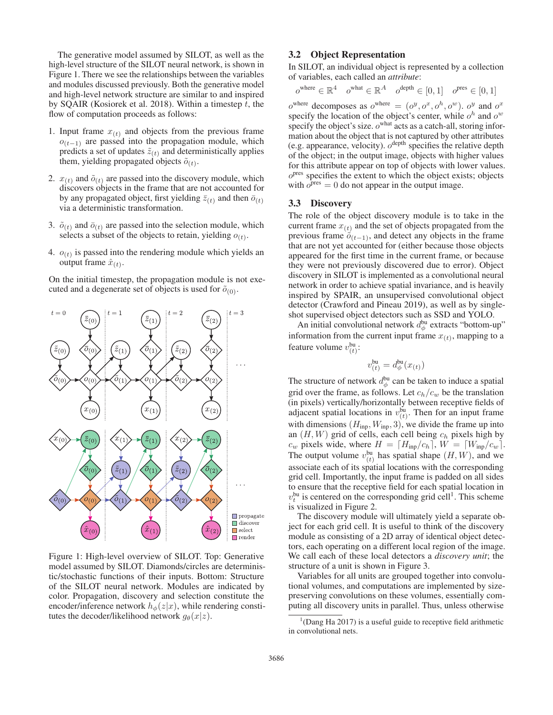The generative model assumed by SILOT, as well as the high-level structure of the SILOT neural network, is shown in Figure 1. There we see the relationships between the variables and modules discussed previously. Both the generative model and high-level network structure are similar to and inspired by SQAIR (Kosiorek et al. 2018). Within a timestep  $t$ , the flow of computation proceeds as follows:

- 1. Input frame  $x_{(t)}$  and objects from the previous frame  $o_{(t-1)}$  are passed into the propagation module, which predicts a set of updates  $\tilde{z}_{(t)}$  and deterministically applies them, yielding propagated objects  $\tilde{o}_{(t)}$ .
- 2.  $x_{(t)}$  and  $\tilde{o}_{(t)}$  are passed into the discovery module, which discovers objects in the frame that are not accounted for by any propagated object, first yielding  $\bar{z}_{(t)}$  and then  $\bar{o}_{(t)}$ via a deterministic transformation.
- 3.  $\tilde{o}_{(t)}$  and  $\bar{o}_{(t)}$  are passed into the selection module, which selects a subset of the objects to retain, yielding  $o_{(t)}$ .
- 4.  $o_{(t)}$  is passed into the rendering module which yields an output frame  $\hat{x}_{(t)}$ .

On the initial timestep, the propagation module is not executed and a degenerate set of objects is used for  $\tilde{o}_{(0)}$ .



Figure 1: High-level overview of SILOT. Top: Generative model assumed by SILOT. Diamonds/circles are deterministic/stochastic functions of their inputs. Bottom: Structure of the SILOT neural network. Modules are indicated by color. Propagation, discovery and selection constitute the encoder/inference network  $h_{\phi}(z|x)$ , while rendering constitutes the decoder/likelihood network  $g_{\theta}(x|z)$ .

### 3.2 Object Representation

In SILOT, an individual object is represented by a collection of variables, each called an *attribute*:

$$
o^{\text{where}} \in \mathbb{R}^4 \quad o^{\text{what}} \in \mathbb{R}^A \quad o^{\text{depth}} \in [0, 1] \quad o^{\text{pres}} \in [0, 1]
$$

 $o^{\text{where}}$  decomposes as  $o^{\text{where}} = (o^y, o^x, o^h, o^w)$ .  $o^y$  and  $o^x$ <br>specify the location of the object's center while  $o^h$  and  $o^w$ specify the location of the object's center, while  $o^h$  and  $o^w$ specify the object's size.  $o^{what}$  acts as a catch-all, storing information about the object that is not captured by other attributes (e.g. appearance, velocity).  $o^{depth}$  specifies the relative depth of the object; in the output image, objects with higher values for this attribute appear on top of objects with lower values.  $o<sup>pres</sup>$  specifies the extent to which the object exists; objects with  $o<sup>pres</sup> = 0$  do not appear in the output image.

# 3.3 Discovery

The role of the object discovery module is to take in the current frame  $x(t)$  and the set of objects propagated from the previous frame  $\tilde{o}_{(t-1)}$ , and detect any objects in the frame that are not yet accounted for (either because those objects appeared for the first time in the current frame, or because they were not previously discovered due to error). Object discovery in SILOT is implemented as a convolutional neural network in order to achieve spatial invariance, and is heavily inspired by SPAIR, an unsupervised convolutional object detector (Crawford and Pineau 2019), as well as by singleshot supervised object detectors such as SSD and YOLO.

An initial convolutional network  $d_{\phi}^{bu}$  extracts "bottom-up" information from the current input frame  $x_{(t)}$ , mapping to a feature volume  $v_{(t)}^{\text{bu}}$ :

$$
v_{(t)}^{\text{bu}} = d_{\phi}^{\text{bu}}(x_{(t)})
$$

The structure of network  $d_{\phi}^{bu}$  can be taken to induce a spatial grid over the frame, as follows. Let  $c_h/c_w$  be the translation (in pixels) vertically/horizontally between receptive fields of adjacent spatial locations in  $v_{(t)}^{\text{bu}}$ . Then for an input frame with dimensions  $(H_{\text{inp}}, W_{\text{inp}}, 3)$ , we divide the frame up into an  $(H, W)$  grid of cells, each cell being  $c_h$  pixels high by  $c_w$  pixels wide, where  $H = [H_{\text{inp}}/c_h]$ ,  $W = [W_{\text{inp}}/c_w]$ .<br>The output volume  $v_{\text{[t]}}^{\text{bu}}$  has spatial shape  $(H, W)$ , and we associate each of its spatial locations with the corresponding grid cell. Importantly, the input frame is padded on all sides to ensure that the receptive field for each spatial location in  $v_t^{\text{bu}}$  is centered on the corresponding grid cell<sup>1</sup>. This scheme is visualized in Figure 2.

The discovery module will ultimately yield a separate object for each grid cell. It is useful to think of the discovery module as consisting of a 2D array of identical object detectors, each operating on a different local region of the image. We call each of these local detectors a *discovery unit*; the structure of a unit is shown in Figure 3.

Variables for all units are grouped together into convolutional volumes, and computations are implemented by sizepreserving convolutions on these volumes, essentially computing all discovery units in parallel. Thus, unless otherwise

 $1$ <sup>1</sup>(Dang Ha 2017) is a useful guide to receptive field arithmetic in convolutional nets.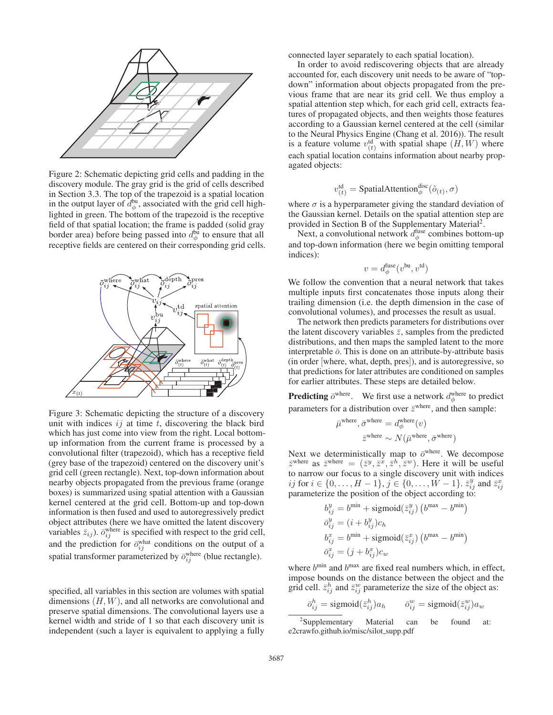

Figure 2: Schematic depicting grid cells and padding in the discovery module. The gray grid is the grid of cells described in Section 3.3. The top of the trapezoid is a spatial location in the output layer of  $\hat{d}_{\phi}^{bu}$ , associated with the grid cell highlighted in green. The bottom of the trapezoid is the receptive field of that spatial location; the frame is padded (solid gray border area) before being passed into  $d_{\phi}^{\text{bu}}$  to ensure that all receptive fields are centered on their corresponding grid cells.



Figure 3: Schematic depicting the structure of a discovery unit with indices  $ij$  at time t, discovering the black bird which has just come into view from the right. Local bottomup information from the current frame is processed by a convolutional filter (trapezoid), which has a receptive field (grey base of the trapezoid) centered on the discovery unit's grid cell (green rectangle). Next, top-down information about nearby objects propagated from the previous frame (orange boxes) is summarized using spatial attention with a Gaussian kernel centered at the grid cell. Bottom-up and top-down information is then fused and used to autoregressively predict object attributes (here we have omitted the latent discovery variables  $\bar{z}_{ij}$ ).  $\bar{o}^{\text{where}}_{ij}$  is specified with respect to the grid cell, and the prodiction for  $\bar{\text{e}}^{\text{what}}$  conditions on the output of a and the prediction for  $\bar{o}_{ij}^{\text{what}}$  conditions on the output of a spatial transformer parameterized by  $\bar{o}_{ij}^{\text{where}}$  (blue rectangle).

specified, all variables in this section are volumes with spatial dimensions  $(H, W)$ , and all networks are convolutional and preserve spatial dimensions. The convolutional layers use a kernel width and stride of 1 so that each discovery unit is independent (such a layer is equivalent to applying a fully connected layer separately to each spatial location).

In order to avoid rediscovering objects that are already accounted for, each discovery unit needs to be aware of "topdown" information about objects propagated from the previous frame that are near its grid cell. We thus employ a spatial attention step which, for each grid cell, extracts features of propagated objects, and then weights those features according to a Gaussian kernel centered at the cell (similar to the Neural Physics Engine (Chang et al. 2016)). The result is a feature volume  $v_{(t)}^{td}$  with spatial shape  $(H, W)$  where each spatial location contains information about nearby propagated objects:

$$
v_{(t)}^{\text{td}} = \text{SpatialAttention}_{\phi}^{\text{disc}}(\tilde{o}_{(t)}, \sigma)
$$

where  $\sigma$  is a hyperparameter giving the standard deviation of the Gaussian kernel. Details on the spatial attention step are provided in Section B of the Supplementary Material<sup>2</sup>.

Next, a convolutional network  $d_{\phi}^{\text{fuse}}$  combines bottom-up and top-down information (here we begin omitting temporal indices):

$$
v = d_{\phi}^{\text{fuse}}(v^{\text{bu}}, v^{\text{td}})
$$

 $v = d_{\phi}^{\text{fuse}}(v^{\text{bu}}, v^{\text{td}})$ <br>We follow the convention that a neural network that takes multiple inputs first concatenates those inputs along their trailing dimension (i.e. the depth dimension in the case of convolutional volumes), and processes the result as usual.

The network then predicts parameters for distributions over the latent discovery variables  $\bar{z}$ , samples from the predicted distributions, and then maps the sampled latent to the more interpretable  $\bar{o}$ . This is done on an attribute-by-attribute basis (in order [where, what, depth, pres]), and is autoregressive, so that predictions for later attributes are conditioned on samples for earlier attributes. These steps are detailed below.

**Predicting**  $\bar{\sigma}^{\text{where}}$ . We first use a network  $d_{\phi}^{\text{where}}$  to predict presentation for a distribution gypt  $\bar{\sigma}^{\text{where}}$  and then sample. parameters for a distribution over  $\bar{z}^{\text{where}}$ , and then sample:

$$
\bar{\mu}^{\text{where}}, \bar{\sigma}^{\text{where}} = d_{\phi}^{\text{where}}(v)
$$

$$
\bar{z}^{\text{where}} \sim N(\bar{\mu}^{\text{where}}, \bar{\sigma}^{\text{where}})
$$

Next we deterministically map to  $\bar{\sigma}^{\text{where}}$ . We decompose  $\bar{z}^{\text{where}}$  as  $\bar{z}^{\text{where}} = (\bar{z}^y \ \bar{z}^x \ \bar{z}^h \ \bar{z}^w)$ . Here it will be useful  $\bar{z}^{\text{where}}$  as  $\bar{z}^{\text{where}} = (\bar{z}^y, \bar{z}^x, \bar{z}^h, \bar{z}^w)$ . Here it will be useful to narrow our focus to a single discovery unit with indices *ij* for *i* ∈ {0, ..., *H* − 1}, *j* ∈ {0, ..., *W* − 1}.  $\bar{z}_{ij}^y$  and  $\bar{z}_{ij}^x$  and  $\bar{z}_{ij}^y$ parameterize the position of the object according to:

$$
\begin{aligned} b_{ij}^y &= b^{\text{min}} + \text{sigmoid}(\bar{z}_{ij}^y) \left( b^{\text{max}} - b^{\text{min}} \right) \\ \bar{o}_{ij}^y &= (i + b_{ij}^y) c_h \\ b_{ij}^x &= b^{\text{min}} + \text{sigmoid}(\bar{z}_{ij}^x) \left( b^{\text{max}} - b^{\text{min}} \right) \\ \bar{o}_{ij}^x &= (j + b_{ij}^x) c_w \end{aligned}
$$

where  $b^{\min}$  and  $b^{\max}$  are fixed real numbers which, in effect, impose bounds on the distance between the object and the grid cell.  $\bar{z}_{ij}^h$  and  $\bar{z}_{ij}^w$  parameterize the size of the object as:

$$
\overline{o}_{ij}^h = \text{sigmoid}(\overline{z}_{ij}^h)a_h \qquad \overline{o}_{ij}^w = \text{sigmoid}(\overline{z}_{ij}^w)a_w
$$

<sup>&</sup>lt;sup>2</sup>Supplementary Material can be found at: e2crawfo.github.io/misc/silot supp.pdf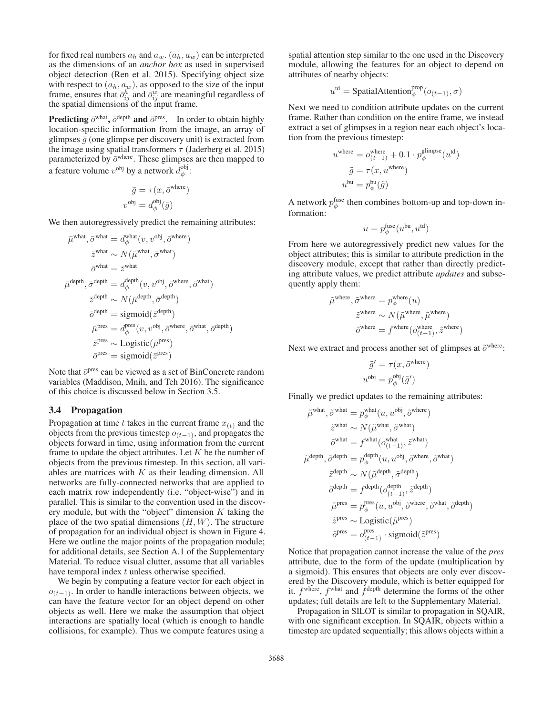for fixed real numbers  $a_h$  and  $a_w$ .  $(a_h, a_w)$  can be interpreted as the dimensions of an *anchor box* as used in supervised object detection (Ren et al. 2015). Specifying object size with respect to  $(a_h, a_w)$ , as opposed to the size of the input frame, ensures that  $\bar{o}_{ij}^h$  and  $\bar{o}_{ij}^w$  are meaningful regardless of the spatial dimensions of the input frame the spatial dimensions of the input frame.

**Predicting**  $\overline{o}^{\text{what}}, \overline{o}^{\text{depth}}$  and  $\overline{o}^{\text{pres}}$ . In order to obtain highly location-specific information from the image, an array of glimpses  $\bar{g}$  (one glimpse per discovery unit) is extracted from the image using spatial transformers  $\tau$  (Jaderberg et al. 2015) parameterized by  $\bar{o}^{\text{where}}$ . These glimpses are then mapped to a feature volume  $v^{\text{obj}}$  by a network  $d_{\phi}^{\text{obj}}$ :

$$
\bar{g} = \tau(x, \bar{o}^{\text{where}})
$$

$$
v^{\text{obj}} = d_{\phi}^{\text{obj}}(\bar{g})
$$

We then autoregressively predict the remaining attributes:

$$
\bar{\mu}^{\text{what}}, \bar{\sigma}^{\text{what}} = d_{\phi}^{\text{what}}(v, v^{\text{obj}}, \bar{\sigma}^{\text{where}})
$$
\n
$$
\bar{z}^{\text{what}} \sim N(\bar{\mu}^{\text{what}}, \bar{\sigma}^{\text{what}})
$$
\n
$$
\bar{\sigma}^{\text{what}} = \bar{z}^{\text{what}}
$$
\n
$$
\bar{\mu}^{\text{depth}}, \bar{\sigma}^{\text{depth}} = d_{\phi}^{\text{depth}}(v, v^{\text{obj}}, \bar{\sigma}^{\text{where}}, \bar{\sigma}^{\text{what}})
$$
\n
$$
\bar{z}^{\text{depth}} \sim N(\bar{\mu}^{\text{depth}}, \bar{\sigma}^{\text{depth}})
$$
\n
$$
\bar{\sigma}^{\text{depth}} = \text{sigmoid}(\bar{z}^{\text{depth}})
$$
\n
$$
\bar{\mu}^{\text{pres}} = d_{\phi}^{\text{pres}}(v, v^{\text{obj}}, \bar{\sigma}^{\text{where}}, \bar{\sigma}^{\text{what}}, \bar{\sigma}^{\text{depth}})
$$
\n
$$
\bar{z}^{\text{pres}} \sim \text{Logistic}(\bar{\mu}^{\text{pres}})
$$
\n
$$
\bar{\sigma}^{\text{pres}} = \text{sigmoid}(\bar{z}^{\text{pres}})
$$

Note that  $\bar{o}^{pres}$  can be viewed as a set of BinConcrete random variables (Maddison, Mnih, and Teh 2016). The significance of this choice is discussed below in Section 3.5.

#### 3.4 Propagation

Propagation at time t takes in the current frame  $x_{(t)}$  and the objects from the previous timestep  $o_{(t-1)}$ , and propagates the objects forward in time, using information from the current frame to update the object attributes. Let  $K$  be the number of objects from the previous timestep. In this section, all variables are matrices with  $K$  as their leading dimension. All networks are fully-connected networks that are applied to each matrix row independently (i.e. "object-wise") and in parallel. This is similar to the convention used in the discovery module, but with the "object" dimension  $K$  taking the place of the two spatial dimensions  $(H, W)$ . The structure of propagation for an individual object is shown in Figure 4. Here we outline the major points of the propagation module; for additional details, see Section A.1 of the Supplementary Material. To reduce visual clutter, assume that all variables have temporal index  $t$  unless otherwise specified.

We begin by computing a feature vector for each object in  $o_{(t-1)}$ . In order to handle interactions between objects, we can have the feature vector for an object depend on other objects as well. Here we make the assumption that object interactions are spatially local (which is enough to handle collisions, for example). Thus we compute features using a

spatial attention step similar to the one used in the Discovery module, allowing the features for an object to depend on attributes of nearby objects:

$$
u^{\text{td}} = \text{SpatialAttention}_{\phi}^{\text{prop}}(o_{(t-1)}, \sigma)
$$

Next we need to condition attribute updates on the current frame. Rather than condition on the entire frame, we instead extract a set of glimpses in a region near each object's location from the previous timestep:

$$
u^{\text{where}} = o_{(t-1)}^{\text{where}} + 0.1 \cdot p_{\phi}^{\text{glimpse}}(u^{\text{td}})
$$

$$
\tilde{g} = \tau(x, u^{\text{where}})
$$

$$
u^{\text{bu}} = p_{\phi}^{\text{bu}}(\tilde{g})
$$

A network  $p_{\phi}^{\text{fuse}}$  then combines bottom-up and top-down information:

$$
u = p_{\phi}^{\text{fuse}}(u^{\text{bu}}, u^{\text{td}})
$$

From here we autoregressively predict new values for the object attributes; this is similar to attribute prediction in the discovery module, except that rather than directly predicting attribute values, we predict attribute *updates* and subsequently apply them:

$$
\tilde{\mu}^{\text{where}}, \tilde{\sigma}^{\text{where}} = p_{\phi}^{\text{where}}(u)
$$

$$
\tilde{z}^{\text{where}} \sim N(\tilde{\mu}^{\text{where}}, \tilde{\mu}^{\text{where}})
$$

$$
\tilde{\sigma}^{\text{where}} = f^{\text{where}}(o_{(t-1)}^{\text{where}}, \tilde{z}^{\text{where}})
$$

Next we extract and process another set of glimpses at  $\tilde{o}^{\text{where}}$ :

$$
\tilde{g}' = \tau(x, \tilde{o}^{\text{where}})
$$

$$
u^{\text{obj}} = p_{\phi}^{\text{obj}}(\tilde{g}')
$$

Finally we predict updates to the remaining attributes:

$$
\tilde{\mu}^{\text{what}}, \tilde{\sigma}^{\text{what}} = p_{\phi}^{\text{what}}(u, u^{\text{obj}}, \tilde{\sigma}^{\text{where}})
$$
\n
$$
\tilde{z}^{\text{what}} \sim N(\tilde{\mu}^{\text{what}}, \tilde{\sigma}^{\text{what}})
$$
\n
$$
\tilde{\sigma}^{\text{what}} = f^{\text{what}}(o_{(t-1)}^{\text{what}}, \tilde{z}^{\text{what}})
$$
\n
$$
\tilde{\mu}^{\text{depth}}, \tilde{\sigma}^{\text{depth}} = p_{\phi}^{\text{depth}}(u, u^{\text{obj}}, \tilde{\sigma}^{\text{where}}, \tilde{\sigma}^{\text{what}})
$$
\n
$$
\tilde{z}^{\text{depth}} \sim N(\tilde{\mu}^{\text{depth}}, \tilde{\sigma}^{\text{depth}})
$$
\n
$$
\tilde{\sigma}^{\text{depth}} = f^{\text{depth}}(o_{(t-1)}^{\text{depth}}, \tilde{z}^{\text{depth}})
$$
\n
$$
\tilde{\mu}^{\text{pres}} = p_{\phi}^{\text{pres}}(u, u^{\text{obj}}, \tilde{\sigma}^{\text{where}}, \tilde{\sigma}^{\text{what}}, \tilde{\sigma}^{\text{depth}})
$$
\n
$$
\tilde{z}^{\text{pres}} \sim \text{Logistic}(\tilde{\mu}^{\text{pres}})
$$
\n
$$
\tilde{\sigma}^{\text{pres}} = o_{(t-1)}^{\text{pres}} \cdot \text{sigmoid}(\tilde{z}^{\text{pres}})
$$

Notice that propagation cannot increase the value of the *pres* attribute, due to the form of the update (multiplication by a sigmoid). This ensures that objects are only ever discovered by the Discovery module, which is better equipped for it.  $f^{\text{where}}$ ,  $f^{\text{what}}$  and  $\dot{f}^{\text{depth}}$  determine the forms of the other updates; full details are left to the Supplementary Material.

Propagation in SILOT is similar to propagation in SQAIR, with one significant exception. In SQAIR, objects within a timestep are updated sequentially; this allows objects within a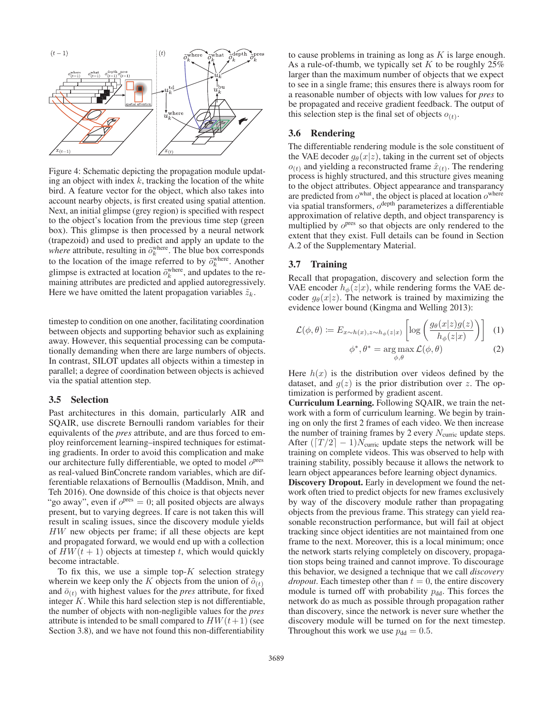

Figure 4: Schematic depicting the propagation module updating an object with index  $k$ , tracking the location of the white bird. A feature vector for the object, which also takes into account nearby objects, is first created using spatial attention. Next, an initial glimpse (grey region) is specified with respect to the object's location from the previous time step (green box). This glimpse is then processed by a neural network (trapezoid) and used to predict and apply an update to the *where* attribute, resulting in  $\tilde{\sigma}_k^{\text{where}}$ . The blue box corresponds to the location of the image referred to by  $\tilde{\sigma}_k^{\text{where}}$ . Another to the location of the image referred to by  $\tilde{o}_{k}^{\text{where}}$ . Another<br>glimnee is extracted at location  $\tilde{o}_{k}^{\text{where}}$  and undates to the reglimpse is extracted at location  $\tilde{o}_{k}^{\text{where}}$ , and updates to the re-<br>maining attributes are predicted and applied autoregressively maining attributes are predicted and applied autoregressively. Here we have omitted the latent propagation variables  $\tilde{z}_k$ .

timestep to condition on one another, facilitating coordination between objects and supporting behavior such as explaining away. However, this sequential processing can be computationally demanding when there are large numbers of objects. In contrast, SILOT updates all objects within a timestep in parallel; a degree of coordination between objects is achieved via the spatial attention step.

#### 3.5 Selection

Past architectures in this domain, particularly AIR and SQAIR, use discrete Bernoulli random variables for their equivalents of the *pres* attribute, and are thus forced to employ reinforcement learning–inspired techniques for estimating gradients. In order to avoid this complication and make our architecture fully differentiable, we opted to model  $o<sup>pres</sup>$ as real-valued BinConcrete random variables, which are differentiable relaxations of Bernoullis (Maddison, Mnih, and Teh 2016). One downside of this choice is that objects never "go away", even if  $o<sup>pres</sup> = 0$ ; all posited objects are always present, but to varying degrees. If care is not taken this will result in scaling issues, since the discovery module yields HW new objects per frame; if all these objects are kept and propagated forward, we would end up with a collection of  $HW(t + 1)$  objects at timestep t, which would quickly become intractable.

To fix this, we use a simple top- $K$  selection strategy wherein we keep only the K objects from the union of  $\tilde{o}_{(t)}$ and  $\bar{o}_{(t)}$  with highest values for the *pres* attribute, for fixed integer  $K$ . While this hard selection step is not differentiable, the number of objects with non-negligible values for the *pres* attribute is intended to be small compared to  $HW(t+1)$  (see Section 3.8), and we have not found this non-differentiability

to cause problems in training as long as  $K$  is large enough. As a rule-of-thumb, we typically set  $K$  to be roughly 25% larger than the maximum number of objects that we expect to see in a single frame; this ensures there is always room for a reasonable number of objects with low values for *pres* to be propagated and receive gradient feedback. The output of this selection step is the final set of objects  $o_{(t)}$ .

# 3.6 Rendering

The differentiable rendering module is the sole constituent of the VAE decoder  $g_{\theta}(x|z)$ , taking in the current set of objects  $o_{(t)}$  and yielding a reconstructed frame  $\hat{x}_{(t)}$ . The rendering process is highly structured, and this structure gives meaning to the object attributes. Object appearance and transparancy are predicted from  $o^{what}$ , the object is placed at location  $o^{where}$ via spatial transformers,  $o^{depth}$  parameterizes a differentiable approximation of relative depth, and object transparency is multiplied by  $o<sup>pres</sup>$  so that objects are only rendered to the extent that they exist. Full details can be found in Section A.2 of the Supplementary Material.

#### 3.7 Training

Recall that propagation, discovery and selection form the VAE encoder  $h_{\phi}(z|x)$ , while rendering forms the VAE decoder  $g_{\theta}(x|z)$ . The network is trained by maximizing the evidence lower bound (Kingma and Welling 2013):

$$
\mathcal{L}(\phi,\theta) := E_{x \sim h(x), z \sim h_{\phi}(z|x)} \left[ \log \left( \frac{g_{\theta}(x|z)g(z)}{h_{\phi}(z|x)} \right) \right]
$$
(1)  

$$
\phi^* \theta^* = \arg \max_{\theta} \mathcal{L}(\phi,\theta)
$$
(2)

$$
\phi^*, \theta^* = \underset{\phi, \theta}{\arg \max} \mathcal{L}(\phi, \theta) \tag{2}
$$

Here  $h(x)$  is the distribution over videos defined by the dataset, and  $q(z)$  is the prior distribution over z. The optimization is performed by gradient ascent.

Curriculum Learning. Following SQAIR, we train the network with a form of curriculum learning. We begin by training on only the first 2 frames of each video. We then increase the number of training frames by 2 every  $N_{\text{curric}}$  update steps. After  $(T/2 - 1)N_{\text{curric}}$  update steps the network will be training on complete videos. This was observed to help with training stability, possibly because it allows the network to learn object appearances before learning object dynamics.

Discovery Dropout. Early in development we found the network often tried to predict objects for new frames exclusively by way of the discovery module rather than propagating objects from the previous frame. This strategy can yield reasonable reconstruction performance, but will fail at object tracking since object identities are not maintained from one frame to the next. Moreover, this is a local minimum; once the network starts relying completely on discovery, propagation stops being trained and cannot improve. To discourage this behavior, we designed a technique that we call *discovery dropout*. Each timestep other than  $t = 0$ , the entire discovery module is turned off with probability  $p_{dd}$ . This forces the network do as much as possible through propagation rather than discovery, since the network is never sure whether the discovery module will be turned on for the next timestep. Throughout this work we use  $p_{dd} = 0.5$ .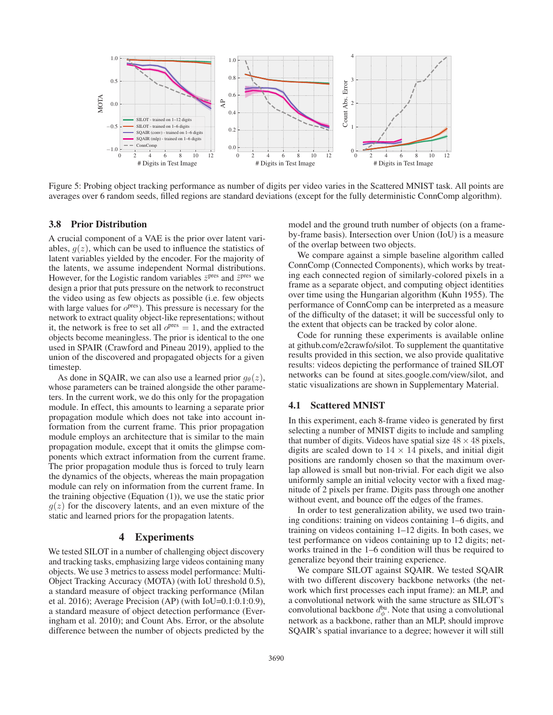

Figure 5: Probing object tracking performance as number of digits per video varies in the Scattered MNIST task. All points are averages over 6 random seeds, filled regions are standard deviations (except for the fully deterministic ConnComp algorithm).

# 3.8 Prior Distribution

A crucial component of a VAE is the prior over latent variables,  $g(z)$ , which can be used to influence the statistics of latent variables yielded by the encoder. For the majority of the latents, we assume independent Normal distributions. However, for the Logistic random variables  $\bar{z}^{\text{pres}}$  and  $\tilde{z}^{\text{pres}}$  we design a prior that puts pressure on the network to reconstruct the video using as few objects as possible (i.e. few objects with large values for  $o<sup>pres</sup>$ ). This pressure is necessary for the network to extract quality object-like representations; without it, the network is free to set all  $o^{pres} = 1$ , and the extracted objects become meaningless. The prior is identical to the one used in SPAIR (Crawford and Pineau 2019), applied to the union of the discovered and propagated objects for a given timestep.

As done in SQAIR, we can also use a learned prior  $g_{\theta}(z)$ , whose parameters can be trained alongside the other parameters. In the current work, we do this only for the propagation module. In effect, this amounts to learning a separate prior propagation module which does not take into account information from the current frame. This prior propagation module employs an architecture that is similar to the main propagation module, except that it omits the glimpse components which extract information from the current frame. The prior propagation module thus is forced to truly learn the dynamics of the objects, whereas the main propagation module can rely on information from the current frame. In the training objective (Equation (1)), we use the static prior  $g(z)$  for the discovery latents, and an even mixture of the static and learned priors for the propagation latents.

# 4 Experiments

We tested SILOT in a number of challenging object discovery and tracking tasks, emphasizing large videos containing many objects. We use 3 metrics to assess model performance: Multi-Object Tracking Accuracy (MOTA) (with IoU threshold 0.5), a standard measure of object tracking performance (Milan et al. 2016); Average Precision (AP) (with IoU=0.1:0.1:0.9), a standard measure of object detection performance (Everingham et al. 2010); and Count Abs. Error, or the absolute difference between the number of objects predicted by the

model and the ground truth number of objects (on a frameby-frame basis). Intersection over Union (IoU) is a measure of the overlap between two objects.

We compare against a simple baseline algorithm called ConnComp (Connected Components), which works by treating each connected region of similarly-colored pixels in a frame as a separate object, and computing object identities over time using the Hungarian algorithm (Kuhn 1955). The performance of ConnComp can be interpreted as a measure of the difficulty of the dataset; it will be successful only to the extent that objects can be tracked by color alone.

Code for running these experiments is available online at github.com/e2crawfo/silot. To supplement the quantitative results provided in this section, we also provide qualitative results: videos depicting the performance of trained SILOT networks can be found at sites.google.com/view/silot, and static visualizations are shown in Supplementary Material.

#### 4.1 Scattered MNIST

In this experiment, each 8-frame video is generated by first selecting a number of MNIST digits to include and sampling that number of digits. Videos have spatial size  $48 \times 48$  pixels, digits are scaled down to  $14 \times 14$  pixels, and initial digit positions are randomly chosen so that the maximum overlap allowed is small but non-trivial. For each digit we also uniformly sample an initial velocity vector with a fixed magnitude of 2 pixels per frame. Digits pass through one another without event, and bounce off the edges of the frames.

In order to test generalization ability, we used two training conditions: training on videos containing 1–6 digits, and training on videos containing 1–12 digits. In both cases, we test performance on videos containing up to 12 digits; networks trained in the 1–6 condition will thus be required to generalize beyond their training experience.

We compare SILOT against SQAIR. We tested SQAIR with two different discovery backbone networks (the network which first processes each input frame): an MLP, and a convolutional network with the same structure as SILOT's convolutional backbone  $d_{\phi}^{\text{bu}}$ . Note that using a convolutional network as a backbone, rather than an MLP, should improve SQAIR's spatial invariance to a degree; however it will still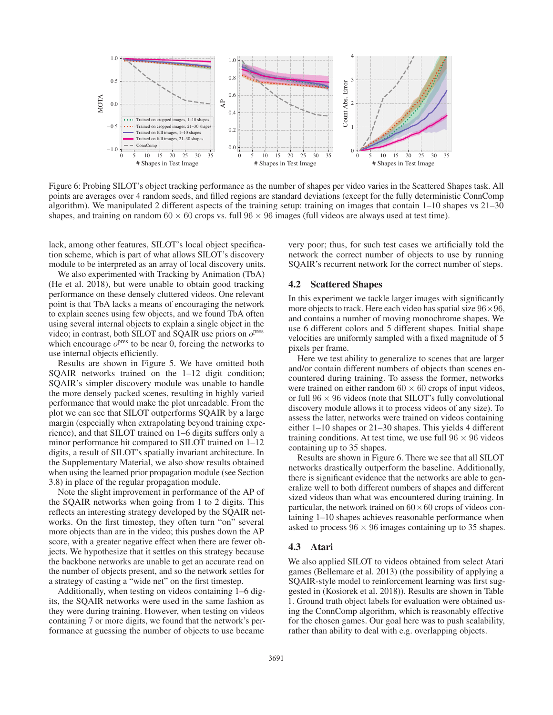

Figure 6: Probing SILOT's object tracking performance as the number of shapes per video varies in the Scattered Shapes task. All points are averages over 4 random seeds, and filled regions are standard deviations (except for the fully deterministic ConnComp algorithm). We manipulated 2 different aspects of the training setup: training on images that contain 1–10 shapes vs 21–30 shapes, and training on random  $60 \times 60$  crops vs. full 96  $\times$  96 images (full videos are always used at test time).

lack, among other features, SILOT's local object specification scheme, which is part of what allows SILOT's discovery module to be interpreted as an array of local discovery units.

We also experimented with Tracking by Animation (TbA) (He et al. 2018), but were unable to obtain good tracking performance on these densely cluttered videos. One relevant point is that TbA lacks a means of encouraging the network to explain scenes using few objects, and we found TbA often using several internal objects to explain a single object in the video; in contrast, both SILOT and SQAIR use priors on opres which encourage  $o<sup>pres</sup>$  to be near 0, forcing the networks to use internal objects efficiently.

Results are shown in Figure 5. We have omitted both SQAIR networks trained on the 1–12 digit condition; SQAIR's simpler discovery module was unable to handle the more densely packed scenes, resulting in highly varied performance that would make the plot unreadable. From the plot we can see that SILOT outperforms SQAIR by a large margin (especially when extrapolating beyond training experience), and that SILOT trained on 1–6 digits suffers only a minor performance hit compared to SILOT trained on  $1-12$ digits, a result of SILOT's spatially invariant architecture. In the Supplementary Material, we also show results obtained when using the learned prior propagation module (see Section 3.8) in place of the regular propagation module.

Note the slight improvement in performance of the AP of the SQAIR networks when going from 1 to 2 digits. This reflects an interesting strategy developed by the SQAIR networks. On the first timestep, they often turn "on" several more objects than are in the video; this pushes down the AP score, with a greater negative effect when there are fewer objects. We hypothesize that it settles on this strategy because the backbone networks are unable to get an accurate read on the number of objects present, and so the network settles for a strategy of casting a "wide net" on the first timestep.

Additionally, when testing on videos containing 1–6 digits, the SQAIR networks were used in the same fashion as they were during training. However, when testing on videos containing 7 or more digits, we found that the network's performance at guessing the number of objects to use became

very poor; thus, for such test cases we artificially told the network the correct number of objects to use by running SQAIR's recurrent network for the correct number of steps.

### 4.2 Scattered Shapes

In this experiment we tackle larger images with significantly more objects to track. Here each video has spatial size  $96 \times 96$ , and contains a number of moving monochrome shapes. We use 6 different colors and 5 different shapes. Initial shape velocities are uniformly sampled with a fixed magnitude of 5 pixels per frame.

Here we test ability to generalize to scenes that are larger and/or contain different numbers of objects than scenes encountered during training. To assess the former, networks were trained on either random  $60 \times 60$  crops of input videos, or full  $96 \times 96$  videos (note that SILOT's fully convolutional discovery module allows it to process videos of any size). To assess the latter, networks were trained on videos containing either 1–10 shapes or 21–30 shapes. This yields 4 different training conditions. At test time, we use full  $96 \times 96$  videos containing up to 35 shapes.

Results are shown in Figure 6. There we see that all SILOT networks drastically outperform the baseline. Additionally, there is significant evidence that the networks are able to generalize well to both different numbers of shapes and different sized videos than what was encountered during training. In particular, the network trained on  $60 \times 60$  crops of videos containing 1–10 shapes achieves reasonable performance when asked to process  $96 \times 96$  images containing up to 35 shapes.

#### 4.3 Atari

We also applied SILOT to videos obtained from select Atari games (Bellemare et al. 2013) (the possibility of applying a SQAIR-style model to reinforcement learning was first suggested in (Kosiorek et al. 2018)). Results are shown in Table 1. Ground truth object labels for evaluation were obtained using the ConnComp algorithm, which is reasonably effective for the chosen games. Our goal here was to push scalability, rather than ability to deal with e.g. overlapping objects.